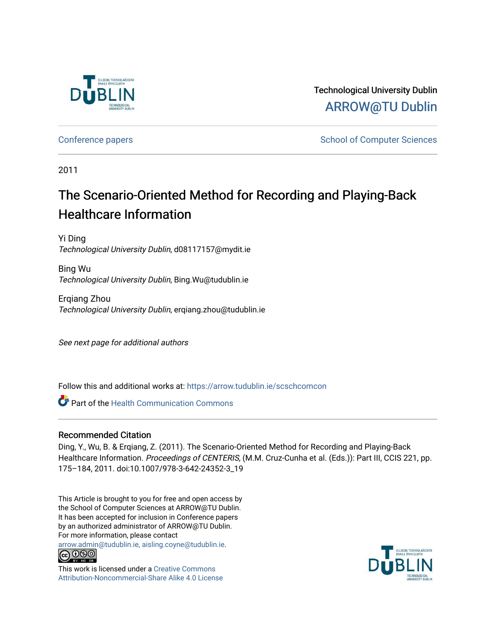

Technological University Dublin [ARROW@TU Dublin](https://arrow.tudublin.ie/) 

[Conference papers](https://arrow.tudublin.ie/scschcomcon) **School of Computer Sciences** School of Computer Sciences

2011

# The Scenario-Oriented Method for Recording and Playing-Back Healthcare Information

Yi Ding Technological University Dublin, d08117157@mydit.ie

Bing Wu Technological University Dublin, Bing.Wu@tudublin.ie

Erqiang Zhou Technological University Dublin, erqiang.zhou@tudublin.ie

See next page for additional authors

Follow this and additional works at: [https://arrow.tudublin.ie/scschcomcon](https://arrow.tudublin.ie/scschcomcon?utm_source=arrow.tudublin.ie%2Fscschcomcon%2F100&utm_medium=PDF&utm_campaign=PDFCoverPages)

Part of the [Health Communication Commons](http://network.bepress.com/hgg/discipline/330?utm_source=arrow.tudublin.ie%2Fscschcomcon%2F100&utm_medium=PDF&utm_campaign=PDFCoverPages)

# Recommended Citation

Ding, Y., Wu, B. & Erqiang, Z. (2011). The Scenario-Oriented Method for Recording and Playing-Back Healthcare Information. Proceedings of CENTERIS, (M.M. Cruz-Cunha et al. (Eds.)): Part III, CCIS 221, pp. 175–184, 2011. doi:10.1007/978-3-642-24352-3\_19

This Article is brought to you for free and open access by the School of Computer Sciences at ARROW@TU Dublin. It has been accepted for inclusion in Conference papers by an authorized administrator of ARROW@TU Dublin. For more information, please contact

[arrow.admin@tudublin.ie, aisling.coyne@tudublin.ie](mailto:arrow.admin@tudublin.ie,%20aisling.coyne@tudublin.ie).



This work is licensed under a [Creative Commons](http://creativecommons.org/licenses/by-nc-sa/4.0/) [Attribution-Noncommercial-Share Alike 4.0 License](http://creativecommons.org/licenses/by-nc-sa/4.0/)

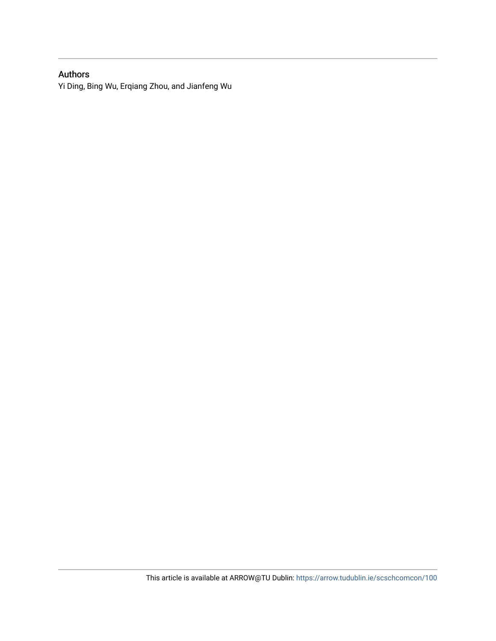# Authors

Yi Ding, Bing Wu, Erqiang Zhou, and Jianfeng Wu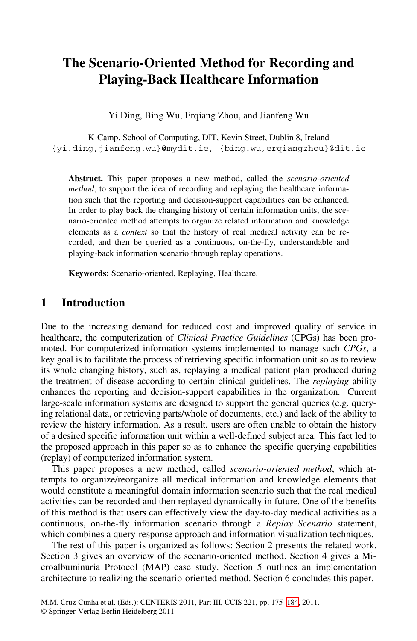# **The Scenario-Oriented Method for Recording and Playing-Back Healthcare Information**

Yi Ding, Bing Wu, Erqiang Zhou, and Jianfeng Wu

K-Camp, School of Computing, DIT, Kevin Street, Dublin 8, Ireland {yi.ding,jianfeng.wu}@mydit.ie, {bing.wu,erqiangzhou}@dit.ie

**Abstract.** This paper proposes a new method, called the *scenario-oriented method*, to support the idea of recording and replaying the healthcare information such that the reporting and decision-support capabilities can be enhanced. In order to play back the changing history of certain information units, the scenario-oriented method attempts to organize related information and knowledge elements as a *context* so that the history of real medical activity can be recorded, and then be queried as a continuous, on-the-fly, understandable and playing-back information scenario through replay operations.

**Keywords:** Scenario-oriented, Replaying, Healthcare.

### **1 Introduction**

Due to the increasing demand for reduced cost and improved quality of service in healthcare, the computerization of *Clinical Practice Guidelines* (CPGs) has been promoted. For computerized information systems implemented to manage such *CPGs*, a key goal is to facilitate the process of retrieving specific information unit so as to review its whole changing history, such as, replaying a medical patient plan produced during the treatment of disease according to certain clinical guidelines. The *replaying* ability enhances the reporting and decision-support capabilities in the organization. Current large-scale information systems are designed to support the general queries (e.g. querying relational data, or retrieving parts/whole of documents, etc.) and lack of the ability to review the history information. As a result, users are often unable to obtain the history of a desired specific information unit within a well-defined subject area. This fact led to the proposed approach in this paper so as to enhance the specific querying capabilities (replay) of computerized information system.

This paper proposes a new method, called *scenario-oriented method*, which attempts to organize/reorganize all medical information and knowledge elements that would constitute a meaningful domain information scenario such that the real medical activities can be recorded and then replayed dynamically in future. One of the benefits of this method is that users can effectively [vie](#page-11-0)w the day-to-day medical activities as a continuous, on-the-fly information scenario through a *Replay Scenario* statement, which combines a query-response approach and information visualization techniques.

The rest of this paper is organized as follows: Section 2 presents the related work. Section 3 gives an overview of the scenario-oriented method. Section 4 gives a Microalbuminuria Protocol (MAP) case study. Section 5 outlines an implementation architecture to realizing the scenario-oriented method. Section 6 concludes this paper.

M.M. Cruz-Cunha et al. (Eds.): CENTERIS 2011, Part III, CCIS 221, pp. 175–184, 2011. © Springer-Verlag Berlin Heidelberg 2011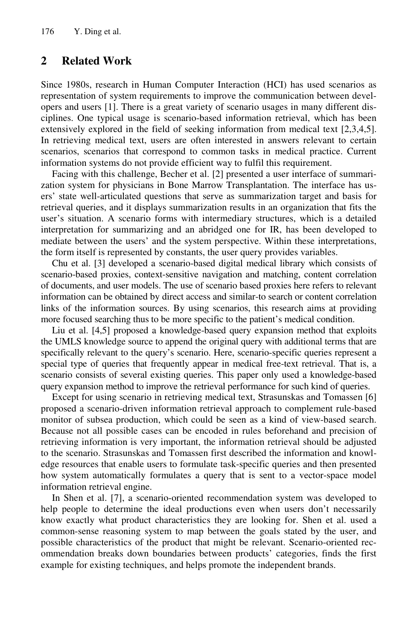## **2 Related Work**

Since 1980s, research in Human Computer Interaction (HCI) has used scenarios as representation of system requirements to improve the communication between developers and users [1]. There is a great variety of scenario usages in many different disciplines. One typical usage is scenario-based information retrieval, which has been extensively explored in the field of seeking information from medical text [2,3,4,5]. In retrieving medical text, users are often interested in answers relevant to certain scenarios, scenarios that correspond to common tasks in medical practice. Current information systems do not provide efficient way to fulfil this requirement.

Facing with this challenge, Becher et al. [2] presented a user interface of summarization system for physicians in Bone Marrow Transplantation. The interface has users' state well-articulated questions that serve as summarization target and basis for retrieval queries, and it displays summarization results in an organization that fits the user's situation. A scenario forms with intermediary structures, which is a detailed interpretation for summarizing and an abridged one for IR, has been developed to mediate between the users' and the system perspective. Within these interpretations, the form itself is represented by constants, the user query provides variables.

Chu et al. [3] developed a scenario-based digital medical library which consists of scenario-based proxies, context-sensitive navigation and matching, content correlation of documents, and user models. The use of scenario based proxies here refers to relevant information can be obtained by direct access and similar-to search or content correlation links of the information sources. By using scenarios, this research aims at providing more focused searching thus to be more specific to the patient's medical condition.

Liu et al. [4,5] proposed a knowledge-based query expansion method that exploits the UMLS knowledge source to append the original query with additional terms that are specifically relevant to the query's scenario. Here, scenario-specific queries represent a special type of queries that frequently appear in medical free-text retrieval. That is, a scenario consists of several existing queries. This paper only used a knowledge-based query expansion method to improve the retrieval performance for such kind of queries.

Except for using scenario in retrieving medical text, Strasunskas and Tomassen [6] proposed a scenario-driven information retrieval approach to complement rule-based monitor of subsea production, which could be seen as a kind of view-based search. Because not all possible cases can be encoded in rules beforehand and precision of retrieving information is very important, the information retrieval should be adjusted to the scenario. Strasunskas and Tomassen first described the information and knowledge resources that enable users to formulate task-specific queries and then presented how system automatically formulates a query that is sent to a vector-space model information retrieval engine.

In Shen et al. [7], a scenario-oriented recommendation system was developed to help people to determine the ideal productions even when users don't necessarily know exactly what product characteristics they are looking for. Shen et al. used a common-sense reasoning system to map between the goals stated by the user, and possible characteristics of the product that might be relevant. Scenario-oriented recommendation breaks down boundaries between products' categories, finds the first example for existing techniques, and helps promote the independent brands.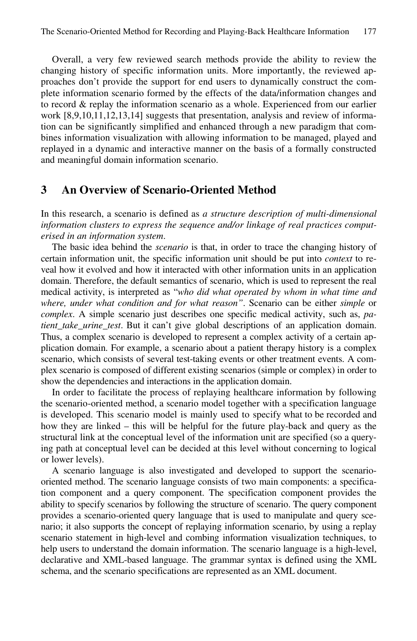Overall, a very few reviewed search methods provide the ability to review the changing history of specific information units. More importantly, the reviewed approaches don't provide the support for end users to dynamically construct the complete information scenario formed by the effects of the data/information changes and to record & replay the information scenario as a whole. Experienced from our earlier work [8,9,10,11,12,13,14] suggests that presentation, analysis and review of information can be significantly simplified and enhanced through a new paradigm that combines information visualization with allowing information to be managed, played and replayed in a dynamic and interactive manner on the basis of a formally constructed and meaningful domain information scenario.

#### **3 An Overview of Scenario-Oriented Method**

In this research, a scenario is defined as *a structure description of multi-dimensional information clusters to express the sequence and/or linkage of real practices computerised in an information system*.

The basic idea behind the *scenario* is that, in order to trace the changing history of certain information unit, the specific information unit should be put into *context* to reveal how it evolved and how it interacted with other information units in an application domain. Therefore, the default semantics of scenario, which is used to represent the real medical activity, is interpreted as "*who did what operated by whom in what time and where, under what condition and for what reason"*. Scenario can be either *simple* or *complex*. A simple scenario just describes one specific medical activity, such as, *patient\_take\_urine\_test*. But it can't give global descriptions of an application domain. Thus, a complex scenario is developed to represent a complex activity of a certain application domain. For example, a scenario about a patient therapy history is a complex scenario, which consists of several test-taking events or other treatment events. A complex scenario is composed of different existing scenarios (simple or complex) in order to show the dependencies and interactions in the application domain.

In order to facilitate the process of replaying healthcare information by following the scenario-oriented method, a scenario model together with a specification language is developed. This scenario model is mainly used to specify what to be recorded and how they are linked – this will be helpful for the future play-back and query as the structural link at the conceptual level of the information unit are specified (so a querying path at conceptual level can be decided at this level without concerning to logical or lower levels).

A scenario language is also investigated and developed to support the scenariooriented method. The scenario language consists of two main components: a specification component and a query component. The specification component provides the ability to specify scenarios by following the structure of scenario. The query component provides a scenario-oriented query language that is used to manipulate and query scenario; it also supports the concept of replaying information scenario, by using a replay scenario statement in high-level and combing information visualization techniques, to help users to understand the domain information. The scenario language is a high-level, declarative and XML-based language. The grammar syntax is defined using the XML schema, and the scenario specifications are represented as an XML document.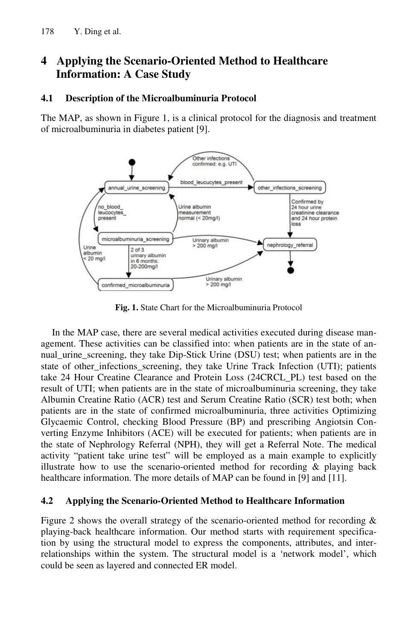# **4 Applying the Scenario-Oriented Method to Healthcare Information: A Case Study**

#### **4.1 Description of the Microalbuminuria Protocol**

The MAP, as shown in Figure 1, is a clinical protocol for the diagnosis and treatment of microalbuminuria in diabetes patient [9].



**Fig. 1.** State Chart for the Microalbuminuria Protocol

In the MAP case, there are several medical activities executed during disease management. These activities can be classified into: when patients are in the state of annual\_urine\_screening, they take Dip-Stick Urine (DSU) test; when patients are in the state of other infections screening, they take Urine Track Infection (UTI); patients take 24 Hour Creatine Clearance and Protein Loss (24CRCL\_PL) test based on the result of UTI; when patients are in the state of microalbuminuria screening, they take Albumin Creatine Ratio (ACR) test and Serum Creatine Ratio (SCR) test both; when patients are in the state of confirmed microalbuminuria, three activities Optimizing Glycaemic Control, checking Blood Pressure (BP) and prescribing Angiotsin Converting Enzyme Inhibitors (ACE) will be executed for patients; when patients are in the state of Nephrology Referral (NPH), they will get a Referral Note. The medical activity "patient take urine test" will be employed as a main example to explicitly illustrate how to use the scenario-oriented method for recording  $\&$  playing back healthcare information. The more details of MAP can be found in [9] and [11].

### **4.2 Applying the Scenario-Oriented Method to Healthcare Information**

Figure 2 shows the overall strategy of the scenario-oriented method for recording & playing-back healthcare information. Our method starts with requirement specification by using the structural model to express the components, attributes, and interrelationships within the system. The structural model is a 'network model', which could be seen as layered and connected ER model.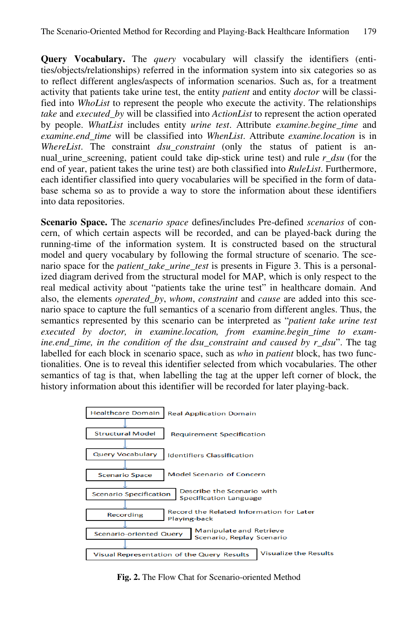**Query Vocabulary.** The *query* vocabulary will classify the identifiers (entities/objects/relationships) referred in the information system into six categories so as to reflect different angles/aspects of information scenarios. Such as, for a treatment activity that patients take urine test, the entity *patient* and entity *doctor* will be classified into *WhoList* to represent the people who execute the activity. The relationships *take* and *executed\_by* will be classified into *ActionList* to represent the action operated by people. *WhatList* includes entity *urine test*. Attribute *examine.begine\_time* and *examine.end\_time* will be classified into *WhenList*. Attribute *examine.location* is in *WhereList*. The constraint *dsu\_constraint* (only the status of patient is annual urine screening, patient could take dip-stick urine test) and rule *r\_dsu* (for the end of year, patient takes the urine test) are both classified into *RuleList*. Furthermore, each identifier classified into query vocabularies will be specified in the form of database schema so as to provide a way to store the information about these identifiers into data repositories.

**Scenario Space.** The *scenario space* defines/includes Pre-defined *scenarios* of concern, of which certain aspects will be recorded, and can be played-back during the running-time of the information system. It is constructed based on the structural model and query vocabulary by following the formal structure of scenario. The scenario space for the *patient\_take\_urine\_test* is presents in Figure 3. This is a personalized diagram derived from the structural model for MAP, which is only respect to the real medical activity about "patients take the urine test" in healthcare domain. And also, the elements *operated\_by*, *whom*, *constraint* and *cause* are added into this scenario space to capture the full semantics of a scenario from different angles. Thus, the semantics represented by this scenario can be interpreted as "*patient take urine test executed by doctor, in examine.location, from examine.begin\_time to examine.end\_time, in the condition of the dsu\_constraint and caused by r\_dsu*". The tag labelled for each block in scenario space, such as *who* in *patient* block, has two functionalities. One is to reveal this identifier selected from which vocabularies. The other semantics of tag is that, when labelling the tag at the upper left corner of block, the history information about this identifier will be recorded for later playing-back.



**Fig. 2.** The Flow Chat for Scenario-oriented Method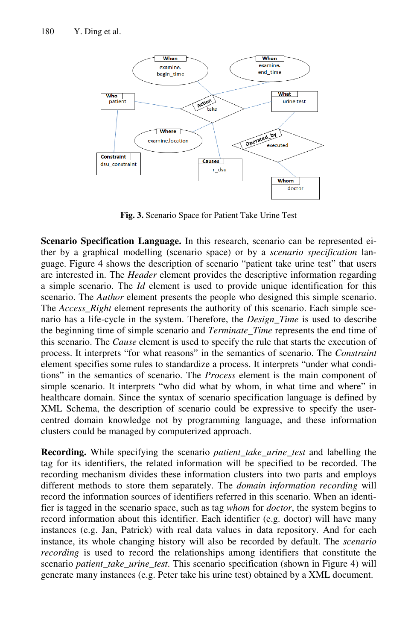

**Fig. 3.** Scenario Space for Patient Take Urine Test

**Scenario Specification Language.** In this research, scenario can be represented either by a graphical modelling (scenario space) or by a *scenario specification* language. Figure 4 shows the description of scenario "patient take urine test" that users are interested in. The *Header* element provides the descriptive information regarding a simple scenario. The *Id* element is used to provide unique identification for this scenario. The *Author* element presents the people who designed this simple scenario. The *Access* Right element represents the authority of this scenario. Each simple scenario has a life-cycle in the system. Therefore, the *Design\_Time* is used to describe the beginning time of simple scenario and *Terminate\_Time* represents the end time of this scenario. The *Cause* element is used to specify the rule that starts the execution of process. It interprets "for what reasons" in the semantics of scenario. The *Constraint*  element specifies some rules to standardize a process. It interprets "under what conditions" in the semantics of scenario. The *Process* element is the main component of simple scenario. It interprets "who did what by whom, in what time and where" in healthcare domain. Since the syntax of scenario specification language is defined by XML Schema, the description of scenario could be expressive to specify the usercentred domain knowledge not by programming language, and these information clusters could be managed by computerized approach.

**Recording.** While specifying the scenario *patient\_take\_urine\_test* and labelling the tag for its identifiers, the related information will be specified to be recorded. The recording mechanism divides these information clusters into two parts and employs different methods to store them separately. The *domain information recording* will record the information sources of identifiers referred in this scenario. When an identifier is tagged in the scenario space, such as tag *whom* for *doctor*, the system begins to record information about this identifier. Each identifier (e.g. doctor) will have many instances (e.g. Jan, Patrick) with real data values in data repository. And for each instance, its whole changing history will also be recorded by default. The *scenario recording* is used to record the relationships among identifiers that constitute the scenario *patient\_take\_urine\_test*. This scenario specification (shown in Figure 4) will generate many instances (e.g. Peter take his urine test) obtained by a XML document.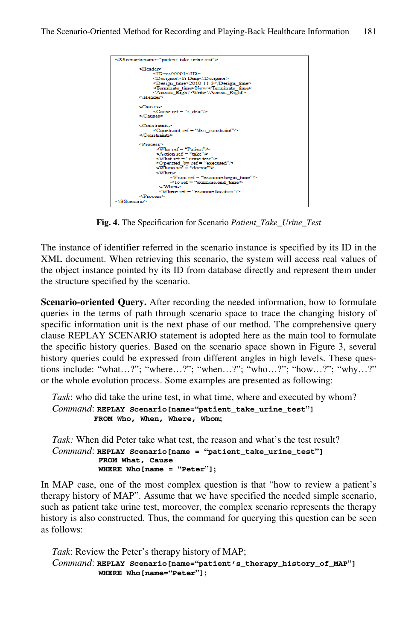

**Fig. 4.** The Specification for Scenario *Patient\_Take\_Urine\_Test* 

The instance of identifier referred in the scenario instance is specified by its ID in the XML document. When retrieving this scenario, the system will access real values of the object instance pointed by its ID from database directly and represent them under the structure specified by the scenario.

**Scenario-oriented Query.** After recording the needed information, how to formulate queries in the terms of path through scenario space to trace the changing history of specific information unit is the next phase of our method. The comprehensive query clause REPLAY SCENARIO statement is adopted here as the main tool to formulate the specific history queries. Based on the scenario space shown in Figure 3, several history queries could be expressed from different angles in high levels. These questions include: "what…?"; "where…?"; "when…?"; "who…?"; "how…?"; "why…?" or the whole evolution process. Some examples are presented as following:

*Task*: who did take the urine test, in what time, where and executed by whom? *Command*: **REPLAY Scenario[name="patient\_take\_urine\_test"] FROM Who, When, Where, Whom;** 

*Task:* When did Peter take what test, the reason and what's the test result? *Command*: **REPLAY Scenario[name = "patient\_take\_urine\_test"] FROM What, Cause WHERE Who[name = "Peter"];** 

In MAP case, one of the most complex question is that "how to review a patient's therapy history of MAP". Assume that we have specified the needed simple scenario, such as patient take urine test, moreover, the complex scenario represents the therapy history is also constructed. Thus, the command for querying this question can be seen as follows:

*Task*: Review the Peter's therapy history of MAP; *Command*: **REPLAY Scenario[name="patient's\_therapy\_history\_of\_MAP"] WHERE Who[name="Peter"];**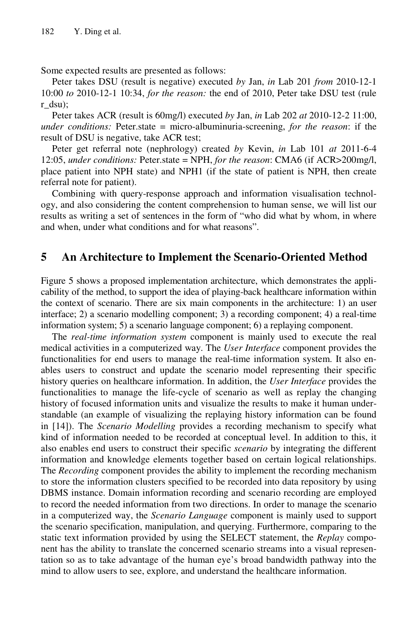Some expected results are presented as follows:

Peter takes DSU (result is negative) executed *by* Jan, *in* Lab 201 *from* 2010-12-1 10:00 *to* 2010-12-1 10:34, *for the reason:* the end of 2010, Peter take DSU test (rule r\_dsu);

Peter takes ACR (result is 60mg/l) executed *by* Jan, *in* Lab 202 *at* 2010-12-2 11:00, *under conditions:* Peter.state = micro-albuminuria-screening, *for the reason*: if the result of DSU is negative, take ACR test;

Peter get referral note (nephrology) created *by* Kevin, *in* Lab 101 *at* 2011-6-4 12:05, *under conditions:* Peter.state = NPH, *for the reason*: CMA6 (if ACR>200mg/l, place patient into NPH state) and NPH1 (if the state of patient is NPH, then create referral note for patient).

Combining with query-response approach and information visualisation technology, and also considering the content comprehension to human sense, we will list our results as writing a set of sentences in the form of "who did what by whom, in where and when, under what conditions and for what reasons".

## **5 An Architecture to Implement the Scenario-Oriented Method**

Figure 5 shows a proposed implementation architecture, which demonstrates the applicability of the method, to support the idea of playing-back healthcare information within the context of scenario. There are six main components in the architecture: 1) an user interface; 2) a scenario modelling component; 3) a recording component; 4) a real-time information system; 5) a scenario language component; 6) a replaying component.

The *real-time information system* component is mainly used to execute the real medical activities in a computerized way. The *User Interface* component provides the functionalities for end users to manage the real-time information system. It also enables users to construct and update the scenario model representing their specific history queries on healthcare information. In addition, the *User Interface* provides the functionalities to manage the life-cycle of scenario as well as replay the changing history of focused information units and visualize the results to make it human understandable (an example of visualizing the replaying history information can be found in [14]). The *Scenario Modelling* provides a recording mechanism to specify what kind of information needed to be recorded at conceptual level. In addition to this, it also enables end users to construct their specific *scenario* by integrating the different information and knowledge elements together based on certain logical relationships. The *Recording* component provides the ability to implement the recording mechanism to store the information clusters specified to be recorded into data repository by using DBMS instance. Domain information recording and scenario recording are employed to record the needed information from two directions. In order to manage the scenario in a computerized way, the *Scenario Language* component is mainly used to support the scenario specification, manipulation, and querying. Furthermore, comparing to the static text information provided by using the SELECT statement, the *Replay* component has the ability to translate the concerned scenario streams into a visual representation so as to take advantage of the human eye's broad bandwidth pathway into the mind to allow users to see, explore, and understand the healthcare information.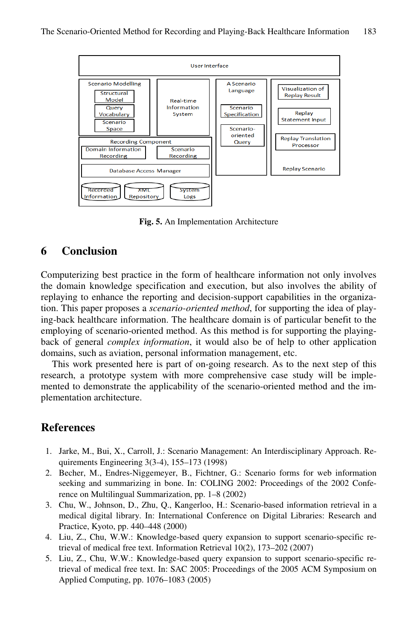

**Fig. 5.** An Implementation Architecture

## **6 Conclusion**

Computerizing best practice in the form of healthcare information not only involves the domain knowledge specification and execution, but also involves the ability of replaying to enhance the reporting and decision-support capabilities in the organization. This paper proposes a *scenario-oriented method*, for supporting the idea of playing-back healthcare information. The healthcare domain is of particular benefit to the employing of scenario-oriented method. As this method is for supporting the playingback of general *complex information*, it would also be of help to other application domains, such as aviation, personal information management, etc.

This work presented here is part of on-going research. As to the next step of this research, a prototype system with more comprehensive case study will be implemented to demonstrate the applicability of the scenario-oriented method and the implementation architecture.

## **References**

- 1. Jarke, M., Bui, X., Carroll, J.: Scenario Management: An Interdisciplinary Approach. Requirements Engineering 3(3-4), 155–173 (1998)
- 2. Becher, M., Endres-Niggemeyer, B., Fichtner, G.: Scenario forms for web information seeking and summarizing in bone. In: COLING 2002: Proceedings of the 2002 Conference on Multilingual Summarization, pp. 1–8 (2002)
- 3. Chu, W., Johnson, D., Zhu, Q., Kangerloo, H.: Scenario-based information retrieval in a medical digital library. In: International Conference on Digital Libraries: Research and Practice, Kyoto, pp. 440–448 (2000)
- 4. Liu, Z., Chu, W.W.: Knowledge-based query expansion to support scenario-specific retrieval of medical free text. Information Retrieval 10(2), 173–202 (2007)
- 5. Liu, Z., Chu, W.W.: Knowledge-based query expansion to support scenario-specific retrieval of medical free text. In: SAC 2005: Proceedings of the 2005 ACM Symposium on Applied Computing, pp. 1076–1083 (2005)